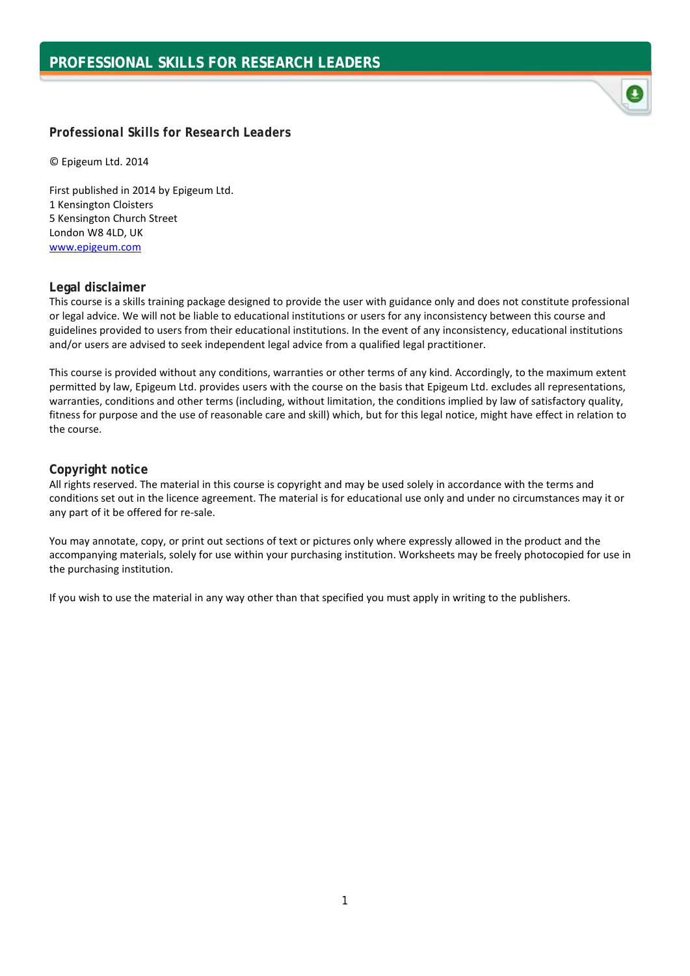## *Professional Skills for Research Leaders*

© Epigeum Ltd. 2014

First published in 2014 by Epigeum Ltd. 1 Kensington Cloisters 5 Kensington Church Street London W8 4LD, UK [www.epigeum.com](http://www.epigeum.com/)

## **Legal disclaimer**

This course is a skills training package designed to provide the user with guidance only and does not constitute professional or legal advice. We will not be liable to educational institutions or users for any inconsistency between this course and guidelines provided to users from their educational institutions. In the event of any inconsistency, educational institutions and/or users are advised to seek independent legal advice from a qualified legal practitioner.

This course is provided without any conditions, warranties or other terms of any kind. Accordingly, to the maximum extent permitted by law, Epigeum Ltd. provides users with the course on the basis that Epigeum Ltd. excludes all representations, warranties, conditions and other terms (including, without limitation, the conditions implied by law of satisfactory quality, fitness for purpose and the use of reasonable care and skill) which, but for this legal notice, might have effect in relation to the course.

## **Copyright notice**

All rights reserved. The material in this course is copyright and may be used solely in accordance with the terms and conditions set out in the licence agreement. The material is for educational use only and under no circumstances may it or any part of it be offered for re-sale.

You may annotate, copy, or print out sections of text or pictures only where expressly allowed in the product and the accompanying materials, solely for use within your purchasing institution. Worksheets may be freely photocopied for use in the purchasing institution.

If you wish to use the material in any way other than that specified you must apply in writing to the publishers.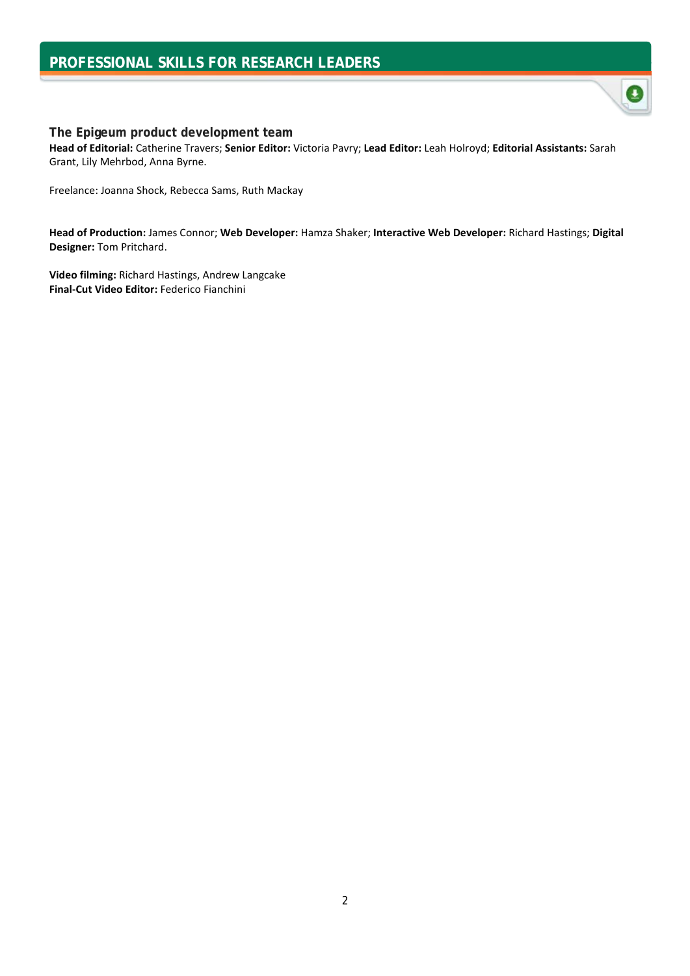# **PROFESSIONAL SKILLS FOR RESEARCH LEADERS**



**Head of Editorial:** Catherine Travers; **Senior Editor:** Victoria Pavry; **Lead Editor:** Leah Holroyd; **Editorial Assistants:** Sarah Grant, Lily Mehrbod, Anna Byrne.

 $\bullet$ 

Freelance: Joanna Shock, Rebecca Sams, Ruth Mackay

**Head of Production:** James Connor; **Web Developer:** Hamza Shaker; **Interactive Web Developer:** Richard Hastings; **Digital Designer:** Tom Pritchard.

**Video filming:** Richard Hastings, Andrew Langcake **Final-Cut Video Editor:** Federico Fianchini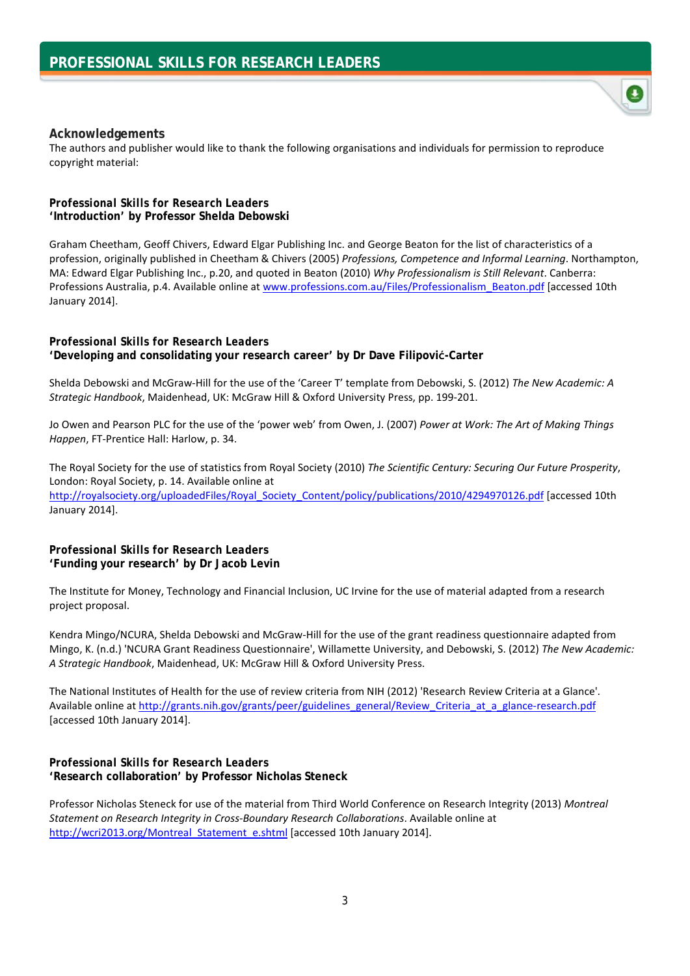

The authors and publisher would like to thank the following organisations and individuals for permission to reproduce copyright material:

#### *Professional Skills for Research Leaders* **'Introduction***'* **by Professor Shelda Debowski**

Graham Cheetham, Geoff Chivers, Edward Elgar Publishing Inc. and George Beaton for the list of characteristics of a profession, originally published in Cheetham & Chivers (2005) *Professions, Competence and Informal Learning*. Northampton, MA: Edward Elgar Publishing Inc., p.20, and quoted in Beaton (2010) *Why Professionalism is Still Relevant*. Canberra: Professions Australia, p.4. Available online at [www.professions.com.au/Files/Professionalism\\_Beaton.pdf](http://www.professions.com.au/Files/Professionalism_Beaton.pdf) [accessed 10th January 2014].

#### *Professional Skills for Research Leaders*

**'Developing and consolidating your research career' by Dr Dave Filipović-Carter**

Shelda Debowski and McGraw-Hill for the use of the 'Career T' template from Debowski, S. (2012) *The New Academic: A Strategic Handbook*, Maidenhead, UK: McGraw Hill & Oxford University Press, pp. 199-201.

Jo Owen and Pearson PLC for the use of the 'power web' from Owen, J. (2007) *Power at Work: The Art of Making Things Happen*, FT-Prentice Hall: Harlow, p. 34.

The Royal Society for the use of statistics from Royal Society (2010) *The Scientific Century: Securing Our Future Prosperity*, London: Royal Society, p. 14. Available online at [http://royalsociety.org/uploadedFiles/Royal\\_Society\\_Content/policy/publications/2010/4294970126.pdf](http://royalsociety.org/uploadedFiles/Royal_Society_Content/policy/publications/2010/4294970126.pdf) [accessed 10th January 2014].

#### *Professional Skills for Research Leaders* **'Funding your research' by Dr Jacob Levin**

The Institute for Money, Technology and Financial Inclusion, UC Irvine for the use of material adapted from a research project proposal.

Kendra Mingo/NCURA, Shelda Debowski and McGraw-Hill for the use of the grant readiness questionnaire adapted from Mingo, K. (n.d.) 'NCURA Grant Readiness Questionnaire', Willamette University, and Debowski, S. (2012) *The New Academic: A Strategic Handbook*, Maidenhead, UK: McGraw Hill & Oxford University Press.

The National Institutes of Health for the use of review criteria from NIH (2012) 'Research Review Criteria at a Glance'. Available online at [http://grants.nih.gov/grants/peer/guidelines\\_general/Review\\_Criteria\\_at\\_a\\_glance-research.pdf](http://grants.nih.gov/grants/peer/guidelines_general/Review_Criteria_at_a_glance-research.pdf) [accessed 10th January 2014].

#### *Professional Skills for Research Leaders* **'Research collaboration' by Professor Nicholas Steneck**

Professor Nicholas Steneck for use of the material from Third World Conference on Research Integrity (2013) *Montreal Statement on Research Integrity in Cross-Boundary Research Collaborations*. Available online at http://wcri2013.org/Montreal Statement e.shtml [accessed 10th January 2014].